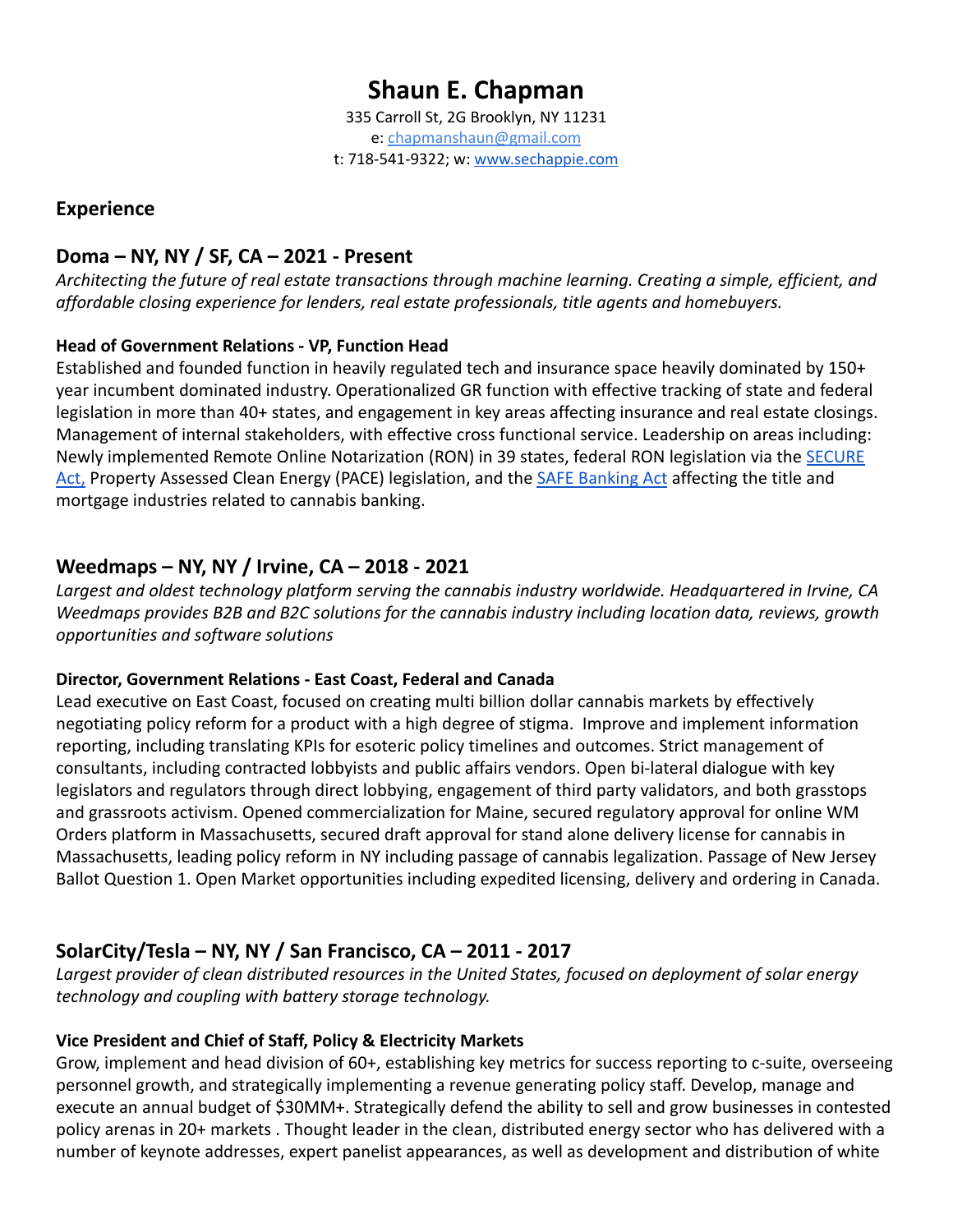# **Shaun E. Chapman**

335 Carroll St, 2G Brooklyn, NY 11231 e: [chapmanshaun@gmail.com](mailto:chapmanshaun@gmail.com) t: 718-541-9322; w: [www.sechappie.com](http://www.sechappie.com/)

## **Experience**

# **Doma – NY, NY / SF, CA – 2021 - Present**

*Architecting the future of real estate transactions through machine learning. Creating a simple, efficient, and affordable closing experience for lenders, real estate professionals, title agents and homebuyers.*

#### **Head of Government Relations - VP, Function Head**

Established and founded function in heavily regulated tech and insurance space heavily dominated by 150+ year incumbent dominated industry. Operationalized GR function with effective tracking of state and federal legislation in more than 40+ states, and engagement in key areas affecting insurance and real estate closings. Management of internal stakeholders, with effective cross functional service. Leadership on areas including: Newly implemented Remote Online Notarization (RON) in 39 states, federal RON legislation via the **[SECURE](https://www.congress.gov/bill/117th-congress/senate-bill/1625?s=1&r=5#:~:text=Introduced%20in%20Senate%20(05%2F13%2F2021)&text=This%20bill%20allows%20a%20notary,notarizations%20for%20remotely%20located%20individuals.)** [Act,](https://www.congress.gov/bill/117th-congress/senate-bill/1625?s=1&r=5#:~:text=Introduced%20in%20Senate%20(05%2F13%2F2021)&text=This%20bill%20allows%20a%20notary,notarizations%20for%20remotely%20located%20individuals.) Property Assessed Clean Energy (PACE) legislation, and the [SAFE Banking Act](https://www.congress.gov/bill/117th-congress/house-bill/1996) affecting the title and mortgage industries related to cannabis banking.

# **Weedmaps – NY, NY / Irvine, CA – 2018 - 2021**

*Largest and oldest technology platform serving the cannabis industry worldwide. Headquartered in Irvine, CA Weedmaps provides B2B and B2C solutions for the cannabis industry including location data, reviews, growth opportunities and software solutions*

#### **Director, Government Relations - East Coast, Federal and Canada**

Lead executive on East Coast, focused on creating multi billion dollar cannabis markets by effectively negotiating policy reform for a product with a high degree of stigma. Improve and implement information reporting, including translating KPIs for esoteric policy timelines and outcomes. Strict management of consultants, including contracted lobbyists and public affairs vendors. Open bi-lateral dialogue with key legislators and regulators through direct lobbying, engagement of third party validators, and both grasstops and grassroots activism. Opened commercialization for Maine, secured regulatory approval for online WM Orders platform in Massachusetts, secured draft approval for stand alone delivery license for cannabis in Massachusetts, leading policy reform in NY including passage of cannabis legalization. Passage of New Jersey Ballot Question 1. Open Market opportunities including expedited licensing, delivery and ordering in Canada.

## **SolarCity/Tesla – NY, NY / San Francisco, CA – 2011 - 2017**

*Largest provider of clean distributed resources in the United States, focused on deployment of solar energy technology and coupling with battery storage technology.*

#### **Vice President and Chief of Staff, Policy & Electricity Markets**

Grow, implement and head division of 60+, establishing key metrics for success reporting to c-suite, overseeing personnel growth, and strategically implementing a revenue generating policy staff. Develop, manage and execute an annual budget of \$30MM+. Strategically defend the ability to sell and grow businesses in contested policy arenas in 20+ markets . Thought leader in the clean, distributed energy sector who has delivered with a number of keynote addresses, expert panelist appearances, as well as development and distribution of white